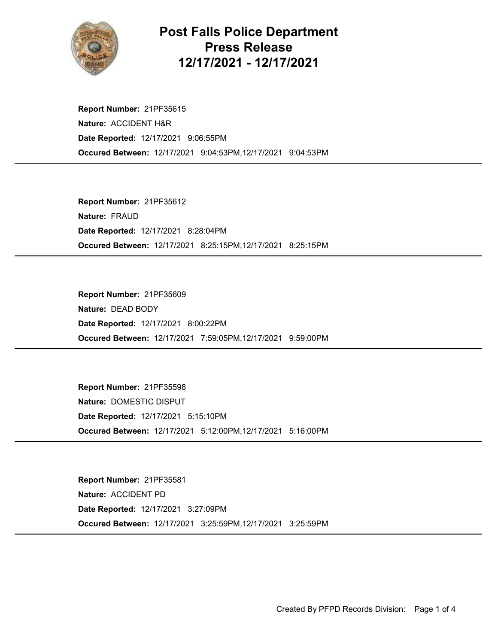

## Post Falls Police Department Press Release 12/17/2021 - 12/17/2021

Occured Between: 12/17/2021 9:04:53PM,12/17/2021 9:04:53PM Report Number: 21PF35615 Nature: ACCIDENT H&R Date Reported: 12/17/2021 9:06:55PM

Occured Between: 12/17/2021 8:25:15PM,12/17/2021 8:25:15PM Report Number: 21PF35612 Nature: FRAUD Date Reported: 12/17/2021 8:28:04PM

Occured Between: 12/17/2021 7:59:05PM,12/17/2021 9:59:00PM Report Number: 21PF35609 Nature: DEAD BODY Date Reported: 12/17/2021 8:00:22PM

Occured Between: 12/17/2021 5:12:00PM,12/17/2021 5:16:00PM Report Number: 21PF35598 Nature: DOMESTIC DISPUT Date Reported: 12/17/2021 5:15:10PM

Occured Between: 12/17/2021 3:25:59PM,12/17/2021 3:25:59PM Report Number: 21PF35581 Nature: ACCIDENT PD Date Reported: 12/17/2021 3:27:09PM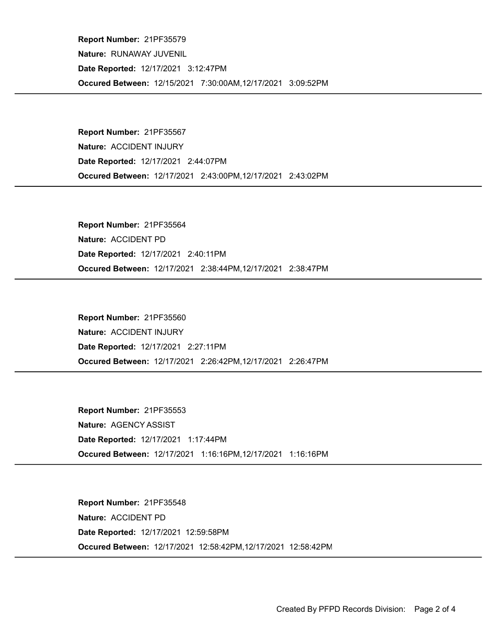Occured Between: 12/15/2021 7:30:00AM,12/17/2021 3:09:52PM Report Number: 21PF35579 Nature: RUNAWAY JUVENIL Date Reported: 12/17/2021 3:12:47PM

Occured Between: 12/17/2021 2:43:00PM,12/17/2021 2:43:02PM Report Number: 21PF35567 Nature: ACCIDENT INJURY Date Reported: 12/17/2021 2:44:07PM

Occured Between: 12/17/2021 2:38:44PM,12/17/2021 2:38:47PM Report Number: 21PF35564 Nature: ACCIDENT PD Date Reported: 12/17/2021 2:40:11PM

Occured Between: 12/17/2021 2:26:42PM,12/17/2021 2:26:47PM Report Number: 21PF35560 Nature: ACCIDENT INJURY Date Reported: 12/17/2021 2:27:11PM

Occured Between: 12/17/2021 1:16:16PM,12/17/2021 1:16:16PM Report Number: 21PF35553 Nature: AGENCY ASSIST Date Reported: 12/17/2021 1:17:44PM

Occured Between: 12/17/2021 12:58:42PM,12/17/2021 12:58:42PM Report Number: 21PF35548 Nature: ACCIDENT PD Date Reported: 12/17/2021 12:59:58PM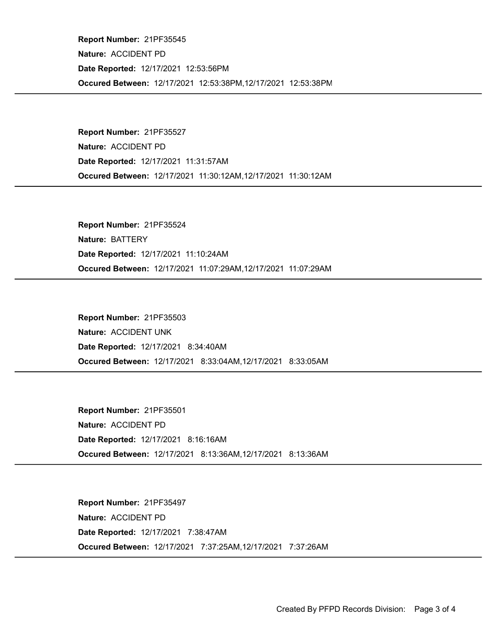Occured Between: 12/17/2021 12:53:38PM,12/17/2021 12:53:38PM Report Number: 21PF35545 Nature: ACCIDENT PD Date Reported: 12/17/2021 12:53:56PM

Occured Between: 12/17/2021 11:30:12AM,12/17/2021 11:30:12AM Report Number: 21PF35527 Nature: ACCIDENT PD Date Reported: 12/17/2021 11:31:57AM

Occured Between: 12/17/2021 11:07:29AM,12/17/2021 11:07:29AM Report Number: 21PF35524 Nature: BATTERY Date Reported: 12/17/2021 11:10:24AM

Occured Between: 12/17/2021 8:33:04AM,12/17/2021 8:33:05AM Report Number: 21PF35503 Nature: ACCIDENT UNK Date Reported: 12/17/2021 8:34:40AM

Occured Between: 12/17/2021 8:13:36AM,12/17/2021 8:13:36AM Report Number: 21PF35501 Nature: ACCIDENT PD Date Reported: 12/17/2021 8:16:16AM

Occured Between: 12/17/2021 7:37:25AM,12/17/2021 7:37:26AM Report Number: 21PF35497 Nature: ACCIDENT PD Date Reported: 12/17/2021 7:38:47AM